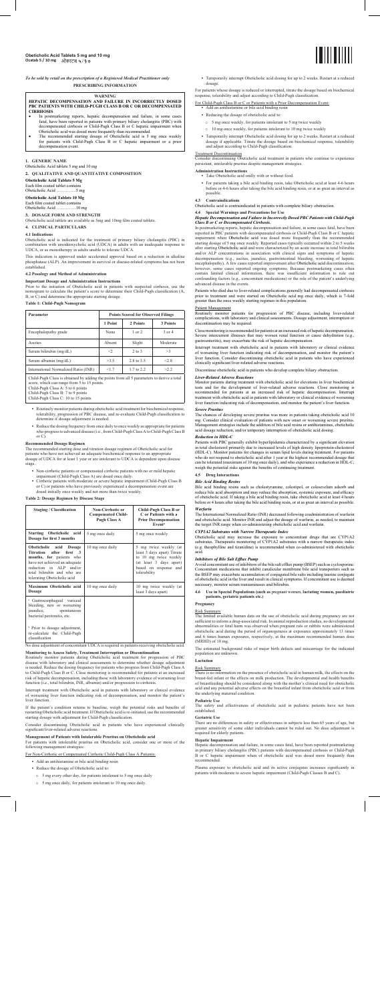*To be sold by retail on the prescription of a Registered Medical Practitioner only* **PRESCRIBING INFORMATION**

#### **WARNING**

**HEPATIC DECOMPENSATION AND FAILURE IN INCORRECTLY DOSED PBC PATIENTS WITH CHILD-PUGH CLASS B OR C OR DECOMPENSATED CIRRHOSIS**

- In postmarketing reports, hepatic decompensation and failure, in some cases fatal, have been reported in patients with primary biliary cholangitis (PBC) with decompensated cirrhosis or Child-Pugh Class B or C hepatic impairment when
- Obeticholic acid was dosed more frequently than recommended.<br>• The recommended starting dosage of Obeticholic acid is 5 mg once weekly for patients with Child-Pugh Class B or C hepatic impairment or a prior decompensation event.

### **1. GENERIC NAME**

Obeticholic Acid tablets 5 mg and 10 mg **2. QUALITATIVE AND QUANTITATIVE COMPOSITION**

Prior to the initiation of Obeticholic acid in patients with suspected cirrhosis, use the nomogram to calculate the patient's score to determine their Child-Pugh classification (A,  $B$ , or  $\widetilde{C}$ ) and determine the appropriate starting dosage.

**Obeticholic Acid Tablets 5 Mg**

Each film coated tablet contains<br>Obeticholic Acid ..............5 mg

# Obeticholic Acid ...

**Obeticholic Acid Tablets 10 Mg**

Each film coated tablet contains<br>Obeticholic Acid ..............10 mg Obeticholic Acid ….....

# **3. DOSAGE FORM AND STRENGTH**

Obeticholic acid tablets are available as 5mg and 10mg film coated tablets.

#### **4. CLINICAL PARTICULARS**

# **4.1 Indications**

- **•** Routinely monitor patients during obeticholic acid treatment for biochemical response, tolerability, progression of PBC disease, and re-evaluate Child-Pugh classification to determine if dosage adjustment is needed.
	- **•** Reduce the dosing frequency from once daily to once weekly as appropriate for patients who progress to advanced disease (i.e., from Child-Pugh Class A to Child-Pugh Class B or  $\overrightarrow{C}$

Obeticholic acid is indicated for the treatment of primary biliary cholangitis (PBC) in combination with ursodeoxycholic acid (UDCA) in adults with an inadequate response to UDCA, or as monotherapy in adults unable to tolerate UDCA.

This indication is approved under accelerated approval based on a reduction in alkaline phosphatase (ALP). An improvement in survival or disease-related symptoms has not been established.

The recommended starting dose and titration dosage regimen of Obeticholic acid for<br>patients who have not achieved an adequate biochemical response to an appropriate<br>dosage of UDCA for at least 1 year or are intolerant to U stage.

- 
- Non-cirrhotic patients or compensated cirrhotic patients with no or mild hepatic<br>impairment (Child-Pugh Class A) are dosed once daily.<br>• Cirrhotic patients with moderate or severe hepatic impairment (Child-Pugh Class B<br>o

# **4.2 Posology and Method of Administration**

**Important Dosage and Administration Instructions**

# **Table 1: Child-Pugh Nomogram**

| Parameter                            | <b>Points Scored for Observed Filings</b> |            |            |
|--------------------------------------|-------------------------------------------|------------|------------|
|                                      | 1 Point                                   | 2 Points   | 3 Points   |
| Encephalopathy grade                 | None                                      | $1$ or $2$ | $3$ or $4$ |
| Ascites                              | Absent                                    | Slight     | Moderate   |
| Serum bilirubin (mg/dL)              | $\leq$                                    | $2$ to $3$ | >3         |
| Serum albumin (mg/dL)                | >3.5                                      | 2.8 to 3.5 | 28         |
| International Normalized Ratio (INR) | <1.7                                      | 1.7 to 2.2 | >2.2       |

Child-Pugh Class is obtained by adding the points from all 5 parameters to derive a total score, which can range from 5 to 15 points. Child-Pugh Class A: 5 to 6 points Child-Pugh Class B: 7 to 9 points Child-Pugh Class C: 10 to 15 points

Interrupt treatment with Obeticholic acid in patients with laboratory or clinical evidence of worsening liver function indicating risk of decompensation, and monitor the patient's liver function

If the patient's condition returns to baseline, weigh the potential risks and benefits of restarting Obeticholic acid treatment If Obeticholic acid is re-initiated use the recommended g Obeticholic acid treatment. If Obeticholic acid is re-initiated, use the recommended starting dosage with adjustment for Child-Pugh classification.

For patients with intolerable pruritus on Obeticholic acid, consider one or more of the wing management strategies:

# **Recommended Dosage Regimen**

For patients whose dosage is reduced or interrupted, titrate the dosage based on biochemical response, tolerability and adjust according to Child-Pugh classification.

For Child-Pugh Class B or C or Patients with a Prior Decompensation Event: **Add an antihistamine or bile acid binding resingle acid binding** 

- **•** Reducing the dosage of obeticholic acid to:
	- o 5 mg once weekly, for patients intolerant to 5 mg twice weekly
	- o 10 mg once weekly, for patients intolerant to 10 mg twice weekly
- Temporarily interrupt Obeticholic acid dosing for up to 2 weeks. Restart at a reduced<br>dosage if applicable. Titrate the dosage based on biochemical response, tolerability<br>and adjust according to Child-Pugh classification

Treatment Discontinuation<br>Consider discontinuing Obeticholic acid treatment in patients who continue to experience<br>persistent, intolerable pruritus despite management strategies.

#### **Table 2: Dosage Regimen by Disease Stage**

| <b>Staging / Classification</b>                                                                                                                                                                                        | Non-Cirrhotic or<br><b>Compensated Child-</b><br><b>Pugh Class A</b> | Child-Pugh Class B or<br>C or Patients with a<br><b>Prior Decompensation</b><br>Event <sup>a</sup>                                                |
|------------------------------------------------------------------------------------------------------------------------------------------------------------------------------------------------------------------------|----------------------------------------------------------------------|---------------------------------------------------------------------------------------------------------------------------------------------------|
| Starting Obeticholic acid<br>Dosage for first 3 months                                                                                                                                                                 | 5 mg once daily                                                      | 5 mg once weekly                                                                                                                                  |
| Obeticholic acid Dosage<br>Titration after<br>first <sub>3</sub><br>months, for patients who<br>have not achieved an adequate<br>reduction in ALP and/or<br>total bilirubin and who are<br>tolerating Obeticholic acid | 10 mg once daily                                                     | 5 mg twice weekly (at<br>least 3 days apart) Titrate<br>to 10 mg twice weekly<br>(at least 3 days apart)<br>based on response and<br>tolerability |
| Maximum Obeticholic acid<br>Dosage                                                                                                                                                                                     | 10 mg once daily                                                     | 10 mg twice weekly (at<br>least 3 days apart)                                                                                                     |
| <sup>a</sup> Gastroesophageal variceal<br>bleeding, new or worsening<br>jaundice,<br>spontaneous<br>bacterial peritonitis, etc.                                                                                        |                                                                      |                                                                                                                                                   |
| <sup>b</sup> Prior to dosage adjustment,<br>re-calculate the Child-Pugh<br>classification                                                                                                                              |                                                                      |                                                                                                                                                   |

Class B or C or Decompensated Cirrhosis.<br>In postmarketing reports, hepatic decompensation and failure, in some cases fatal, have been<br>reported in PBC patients with decompensated cirrhosis or Child-Pugh Class B or C hepatic impairment when Obeticholic acid was dosed more frequently than the recommended<br>starting dosage of 5 mg once weekly. Reported cases typically occurred within 2 to 5 weeks<br>after starting Obeticholic acid and were characteri and/or ALP concentrations in association with clinical signs and symptoms of hepatic<br>decompensation (e.g., ascites, jaundice, gastrointestinal bleeding, worsening of hepatic<br>encephalopathy). A few cases reported improvemen however, some cases reported ongoing symptoms. Because postmarketing cases often<br>contain limited clinical information, there was insufficient information to rule out<br>confounding factors (e.g., concomitant medications) or t advanced disease in the events.

No dose adjustment of concomitant UDCA is required in patients receiving obeticholic acid.



Temporarily interrupt Obeticholic acid dosing for up to 2 weeks. Restart at a redu dosage

Interrupt treatment with obeticholic acid in patients with laboratory or clinical evidence of worsening liver function indicating risk of decompensation, and monitor the patient's<br>liver function. Consider discontinuing obeticholic acid in patients who have experienced<br>clinically significant liver-related adverse

**Monitoring to Assess Safety, Treatment Interruption or Discontinuation** Routinely monitor patients during Obeticholic acid treatment for progression of PBC disease with laboratory and clinical assessments to determine whether dosage adjustment<br>is needed. Reduce the dosing frequency for patients who progress from Child-Pugh Class A<br>to Child-Pugh Class B or C. Close monitoring risk of hepatic decompensation, including those with laboratory evidence of worsening liver function (i.e., total bilirubin, INR, albumin) and/or progression to cirrhosis.

Consider discontinuing Obeticholic acid in patients who have experienced clinically significant liver-related adverse reactions.

# **Management of Patients with Intolerable Pruritus on Obeticholic acid**

### For Non-Cirrhotic or Compensated Cirrhotic Child-Pugh Class A Patients:

- Add an antihistamine or bile acid binding resin
- Reduce the dosage of Obeticholic acid to:
- o 5 mg every other day, for patients intolerant to 5 mg once daily
- o 5 mg once daily, for patients intolerant to 10 mg once daily.

Avoid concomitant use of inhibitors of the bile salt efflux pump (BSEP) such as cyclosporine.<br>Concomitant medications that inhibit canalicular membrane bile acid transporters such as<br>the BSEP may exacerbate accumulation of of obeticholic acid in the liver and result in clinical symptoms. If concomitant use is deemed necessary, monitor serum transaminases and bilirubin.

# **Administration Instructions**

Hepatic decompensation and failure, in some cases fatal, have been reported postmarketing<br>in primary biliary cholangitis (PBC) patients with decompensated cirrhosis or Child-Pugh<br>B or C hepatic impairment when of obetichol recommended.

- **•** Take Obeticholic acid orally with or without food. **•** For patients taking a bile acid binding resin, take Obeticholic acid at least 4-6 hours before or 4-6 hours after taking the bile acid binding resin, or at as great an interval as possible.
- **4.3 Contraindications**

Obeticholic acid is contraindicated in patients with complete biliary obstruction.

# **4.4 Special Warnings and Precautions for Use** *Hepatic Decompensation and Failure in Incorrectly Dosed PBC Patients with Child-Pugh*

Patients who died due to liver-related complications generally had decompensated cirrhosis prior to treatment and were started on Obeticholic acid mg once daily, which is 7-fold greater than the once weekly starting regimen in this population.

Patient Management Routinely monitor patients for progression of PBC disease, including liver-related complications, with laboratory and clinical assessments. Dosage adjustment, interruption or discontinuation may be required.

Close monitoring is recommended for patients at an increased risk of hepatic decompensation. Severe intercurrent illnesses that may worsen renal function or cause dehydration (e.g., gastroenteritis), may exacerbate the risk of hepatic decompensation.

Discontinue obeticholic acid in patients who develop complete biliary obstruction.

#### *Liver-Related Adverse Reactions*

Monitor patients during treatment with obeticholic acid for elevations in liver biochemical tests and for the development of liver-related adverse reactions. Close monitoring is recommended for patients at an increased risk of hepatic decompensation. Interrupt treatment with obeticholic acid in patients with laboratory or clinical evidence of worsening liver function indicating risk of decompensation, and monitor the patient's liver function.

### *Severe Pruritus*

The chances of developing severe pruritus was more in patients taking obeticholic acid 10 mg. Consider clinical evaluation of patients with new onset or worsening severe pruritus. Management strategies include the addition of bile acid resins or antihistamines, obeticholic acid dosage reduction, and/or temporary interruption of obeticholic acid dosing.

# *Reduction in HDL-C*

Patients with PBC generally exhibit hyperlipidemia characterized by a significant elevation in total cholesterol primarily due to increased levels of high density lipoprotein-cholesterol<br>(HDL-C). Monitor patients for changes in serum lipid levels during treatment. For patients<br>who do not respond to obeticholic ac can be tolerated (maximum of 10 mg once daily), and who experience a reduction in HDL-C, weigh the potential risks against the benefits of continuing treatment.

# **4.5 Drug Interactions**

# *Bile Acid Binding Resins*

Bile acid binding resins such as cholestyramine, colestipol, or colesevelam adsorb and reduce bile acid absorption and may reduce the absorption, systemic exposure, and efficacy of obeticholic acid. If taking a bile acid b

# *Warfarin*

The International Normalized Ratio (INR) decreased following coadministration of warfarin<br>and obeticholic acid. Monitor INR and adjust the dosage of warfarin, as needed, to maintain<br>the target INR range when co-administeri

*CYP1A2 Substrates with Narrow Therapeutic Index* Obeticholic acid may increase the exposure to concomitant drugs that are CYP1A2 substrates. Therapeutic monitoring of CYP1A2 substrates with a narrow therapeutic index (e.g. theophylline and tizanidine) is recommended when co-administered with obeticholic acid.

# *Inhibitors of Bile Salt Efflux Pump*

**4.6 Use in Special Populations (such as** pregnant women, **lactating women, paediatric patients, geriatric patients etc.)**

# **Pregnancy**

### Risk Summary

The limited available human data on the use of obeticholic acid during pregnancy are not sufficient to inform a drug-associated risk. In animal reproduction studies, no developmental<br>abnormalities or fetal harm was observed when pregnant rats or rabbits were administered<br>obeticholic acid during the period of o and 6 times human exposures, respectively, at the maximum recommended human dose (MRHD) of 10 mg.

The estimated background risks of major birth defects and miscarriage for the indicated population are unknown.

## **Lactation**

### Risk Summary

There is no information on the presence of obeticholic acid in human milk, the effects on the breast-fed infant or the effects on milk production. The developmental and health benefits of breastfeeding should be considered along with the mother's clinical need for obeticholic acid and any potential adverse effects on the breastfed infant from obeticholic acid or from the underlying maternal condition.

**Pediatric Use** The safety and effectiveness of obeticholic acid in pediatric patients have not been established.

### **Geriatric Use**

There are no differences in safety or effectiveness in subjects less than 65 years of age, but greater sensitivity of some older individuals cannot be ruled out. No dose adjustment is required for elderly patients.

#### **Hepatic Impairment**

Plasma exposure to obeticholic acid and its active conjugates increases significantly in patients with moderate to severe hepatic impairment (Child-Pugh Classes B and C).